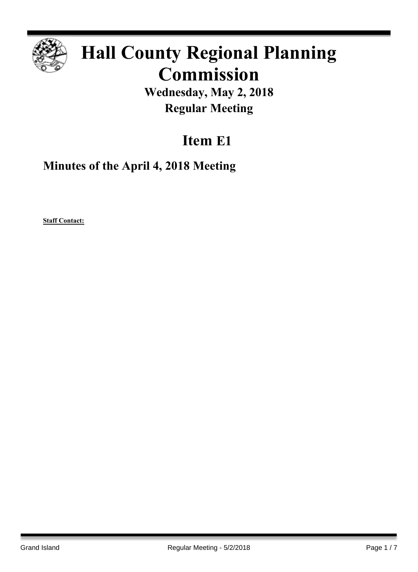

# **Hall County Regional Planning Commission**

**Wednesday, May 2, 2018 Regular Meeting**

## **Item E1**

**Minutes of the April 4, 2018 Meeting**

**Staff Contact:**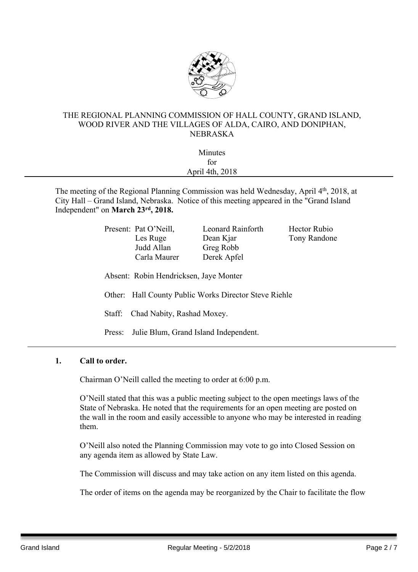

### THE REGIONAL PLANNING COMMISSION OF HALL COUNTY, GRAND ISLAND, WOOD RIVER AND THE VILLAGES OF ALDA, CAIRO, AND DONIPHAN, NEBRASKA

| Minutes         |  |
|-----------------|--|
| for             |  |
| April 4th, 2018 |  |
|                 |  |

The meeting of the Regional Planning Commission was held Wednesday, April 4<sup>th</sup>, 2018, at City Hall – Grand Island, Nebraska. Notice of this meeting appeared in the "Grand Island Independent" on **March 23rd , 2018.**

|                                                       | Present: Pat O'Neill,<br>Les Ruge<br>Judd Allan<br>Carla Maurer | Leonard Rainforth<br>Dean Kjar<br>Greg Robb<br>Derek Apfel | Hector Rubio<br>Tony Randone |
|-------------------------------------------------------|-----------------------------------------------------------------|------------------------------------------------------------|------------------------------|
| Absent: Robin Hendricksen, Jaye Monter                |                                                                 |                                                            |                              |
| Other: Hall County Public Works Director Steve Riehle |                                                                 |                                                            |                              |
| Chad Nabity, Rashad Moxey.<br>Staff:                  |                                                                 |                                                            |                              |
| Press:                                                | Julie Blum, Grand Island Independent.                           |                                                            |                              |

### **1. Call to order.**

Chairman O'Neill called the meeting to order at 6:00 p.m.

O'Neill stated that this was a public meeting subject to the open meetings laws of the State of Nebraska. He noted that the requirements for an open meeting are posted on the wall in the room and easily accessible to anyone who may be interested in reading them.

O'Neill also noted the Planning Commission may vote to go into Closed Session on any agenda item as allowed by State Law.

The Commission will discuss and may take action on any item listed on this agenda.

The order of items on the agenda may be reorganized by the Chair to facilitate the flow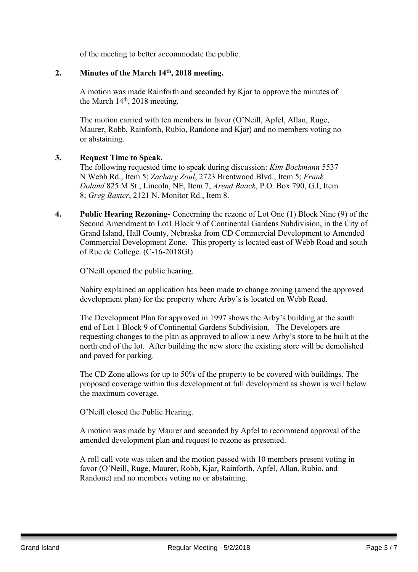of the meeting to better accommodate the public.

### **2. Minutes of the March 14th , 2018 meeting.**

A motion was made Rainforth and seconded by Kjar to approve the minutes of the March 14<sup>th</sup>, 2018 meeting.

The motion carried with ten members in favor (O'Neill, Apfel, Allan, Ruge, Maurer, Robb, Rainforth, Rubio, Randone and Kjar) and no members voting no or abstaining.

### **3. Request Time to Speak.**

The following requested time to speak during discussion: *Kim Bockmann* 5537 N Webb Rd., Item 5; *Zachary Zoul*, 2723 Brentwood Blvd., Item 5; *Frank Doland* 825 M St., Lincoln, NE, Item 7; *Arend Baack*, P.O. Box 790, G.I, Item 8; *Greg Baxter*, 2121 N. Monitor Rd., Item 8.

**4. Public Hearing Rezoning-** Concerning the rezone of Lot One (1) Block Nine (9) of the Second Amendment to Lot1 Block 9 of Continental Gardens Subdivision, in the City of Grand Island, Hall County, Nebraska from CD Commercial Development to Amended Commercial Development Zone. This property is located east of Webb Road and south of Rue de College. (C-16-2018GI)

O'Neill opened the public hearing.

Nabity explained an application has been made to change zoning (amend the approved development plan) for the property where Arby's is located on Webb Road.

The Development Plan for approved in 1997 shows the Arby's building at the south end of Lot 1 Block 9 of Continental Gardens Subdivision. The Developers are requesting changes to the plan as approved to allow a new Arby's store to be built at the north end of the lot. After building the new store the existing store will be demolished and paved for parking.

The CD Zone allows for up to 50% of the property to be covered with buildings. The proposed coverage within this development at full development as shown is well below the maximum coverage.

O'Neill closed the Public Hearing.

A motion was made by Maurer and seconded by Apfel to recommend approval of the amended development plan and request to rezone as presented.

A roll call vote was taken and the motion passed with 10 members present voting in favor (O'Neill, Ruge, Maurer, Robb, Kjar, Rainforth, Apfel, Allan, Rubio, and Randone) and no members voting no or abstaining.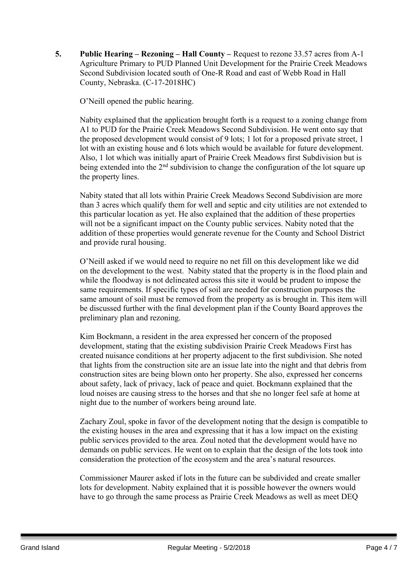**5. Public Hearing – Rezoning – Hall County –** Request to rezone 33.57 acres from A-1 Agriculture Primary to PUD Planned Unit Development for the Prairie Creek Meadows Second Subdivision located south of One-R Road and east of Webb Road in Hall County, Nebraska. (C-17-2018HC)

O'Neill opened the public hearing.

Nabity explained that the application brought forth is a request to a zoning change from A1 to PUD for the Prairie Creek Meadows Second Subdivision. He went onto say that the proposed development would consist of 9 lots; 1 lot for a proposed private street, 1 lot with an existing house and 6 lots which would be available for future development. Also, 1 lot which was initially apart of Prairie Creek Meadows first Subdivision but is being extended into the 2<sup>nd</sup> subdivision to change the configuration of the lot square up the property lines.

Nabity stated that all lots within Prairie Creek Meadows Second Subdivision are more than 3 acres which qualify them for well and septic and city utilities are not extended to this particular location as yet. He also explained that the addition of these properties will not be a significant impact on the County public services. Nabity noted that the addition of these properties would generate revenue for the County and School District and provide rural housing.

O'Neill asked if we would need to require no net fill on this development like we did on the development to the west. Nabity stated that the property is in the flood plain and while the floodway is not delineated across this site it would be prudent to impose the same requirements. If specific types of soil are needed for construction purposes the same amount of soil must be removed from the property as is brought in. This item will be discussed further with the final development plan if the County Board approves the preliminary plan and rezoning.

Kim Bockmann, a resident in the area expressed her concern of the proposed development, stating that the existing subdivision Prairie Creek Meadows First has created nuisance conditions at her property adjacent to the first subdivision. She noted that lights from the construction site are an issue late into the night and that debris from construction sites are being blown onto her property. She also, expressed her concerns about safety, lack of privacy, lack of peace and quiet. Bockmann explained that the loud noises are causing stress to the horses and that she no longer feel safe at home at night due to the number of workers being around late.

Zachary Zoul, spoke in favor of the development noting that the design is compatible to the existing houses in the area and expressing that it has a low impact on the existing public services provided to the area. Zoul noted that the development would have no demands on public services. He went on to explain that the design of the lots took into consideration the protection of the ecosystem and the area's natural resources.

Commissioner Maurer asked if lots in the future can be subdivided and create smaller lots for development. Nabity explained that it is possible however the owners would have to go through the same process as Prairie Creek Meadows as well as meet DEQ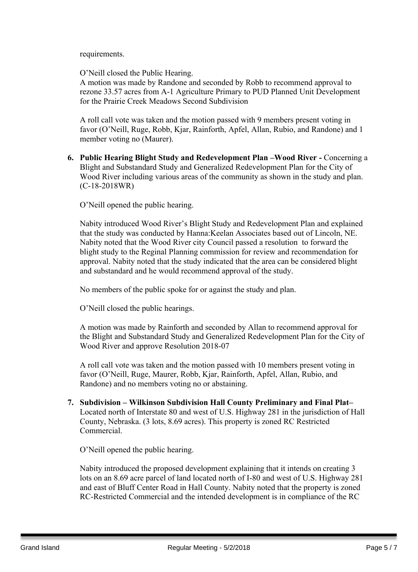requirements.

O'Neill closed the Public Hearing.

A motion was made by Randone and seconded by Robb to recommend approval to rezone 33.57 acres from A-1 Agriculture Primary to PUD Planned Unit Development for the Prairie Creek Meadows Second Subdivision

A roll call vote was taken and the motion passed with 9 members present voting in favor (O'Neill, Ruge, Robb, Kjar, Rainforth, Apfel, Allan, Rubio, and Randone) and 1 member voting no (Maurer).

**6. Public Hearing Blight Study and Redevelopment Plan –Wood River -** Concerning a Blight and Substandard Study and Generalized Redevelopment Plan for the City of Wood River including various areas of the community as shown in the study and plan. (C-18-2018WR)

O'Neill opened the public hearing.

Nabity introduced Wood River's Blight Study and Redevelopment Plan and explained that the study was conducted by Hanna:Keelan Associates based out of Lincoln, NE. Nabity noted that the Wood River city Council passed a resolution to forward the blight study to the Reginal Planning commission for review and recommendation for approval. Nabity noted that the study indicated that the area can be considered blight and substandard and he would recommend approval of the study.

No members of the public spoke for or against the study and plan.

O'Neill closed the public hearings.

A motion was made by Rainforth and seconded by Allan to recommend approval for the Blight and Substandard Study and Generalized Redevelopment Plan for the City of Wood River and approve Resolution 2018-07

A roll call vote was taken and the motion passed with 10 members present voting in favor (O'Neill, Ruge, Maurer, Robb, Kjar, Rainforth, Apfel, Allan, Rubio, and Randone) and no members voting no or abstaining.

**7. Subdivision – Wilkinson Subdivision Hall County Preliminary and Final Plat–** Located north of Interstate 80 and west of U.S. Highway 281 in the jurisdiction of Hall County, Nebraska. (3 lots, 8.69 acres). This property is zoned RC Restricted Commercial.

O'Neill opened the public hearing.

Nabity introduced the proposed development explaining that it intends on creating 3 lots on an 8.69 acre parcel of land located north of I-80 and west of U.S. Highway 281 and east of Bluff Center Road in Hall County. Nabity noted that the property is zoned RC-Restricted Commercial and the intended development is in compliance of the RC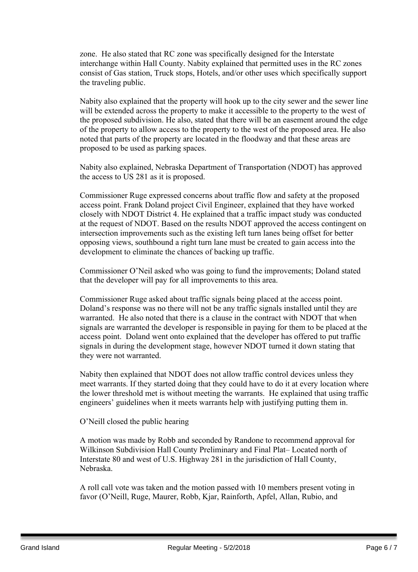zone. He also stated that RC zone was specifically designed for the Interstate interchange within Hall County. Nabity explained that permitted uses in the RC zones consist of Gas station, Truck stops, Hotels, and/or other uses which specifically support the traveling public.

Nabity also explained that the property will hook up to the city sewer and the sewer line will be extended across the property to make it accessible to the property to the west of the proposed subdivision. He also, stated that there will be an easement around the edge of the property to allow access to the property to the west of the proposed area. He also noted that parts of the property are located in the floodway and that these areas are proposed to be used as parking spaces.

Nabity also explained, Nebraska Department of Transportation (NDOT) has approved the access to US 281 as it is proposed.

Commissioner Ruge expressed concerns about traffic flow and safety at the proposed access point. Frank Doland project Civil Engineer, explained that they have worked closely with NDOT District 4. He explained that a traffic impact study was conducted at the request of NDOT. Based on the results NDOT approved the access contingent on intersection improvements such as the existing left turn lanes being offset for better opposing views, southbound a right turn lane must be created to gain access into the development to eliminate the chances of backing up traffic.

Commissioner O'Neil asked who was going to fund the improvements; Doland stated that the developer will pay for all improvements to this area.

Commissioner Ruge asked about traffic signals being placed at the access point. Doland's response was no there will not be any traffic signals installed until they are warranted. He also noted that there is a clause in the contract with NDOT that when signals are warranted the developer is responsible in paying for them to be placed at the access point. Doland went onto explained that the developer has offered to put traffic signals in during the development stage, however NDOT turned it down stating that they were not warranted.

Nabity then explained that NDOT does not allow traffic control devices unless they meet warrants. If they started doing that they could have to do it at every location where the lower threshold met is without meeting the warrants. He explained that using traffic engineers' guidelines when it meets warrants help with justifying putting them in.

O'Neill closed the public hearing

A motion was made by Robb and seconded by Randone to recommend approval for Wilkinson Subdivision Hall County Preliminary and Final Plat– Located north of Interstate 80 and west of U.S. Highway 281 in the jurisdiction of Hall County, Nebraska.

A roll call vote was taken and the motion passed with 10 members present voting in favor (O'Neill, Ruge, Maurer, Robb, Kjar, Rainforth, Apfel, Allan, Rubio, and